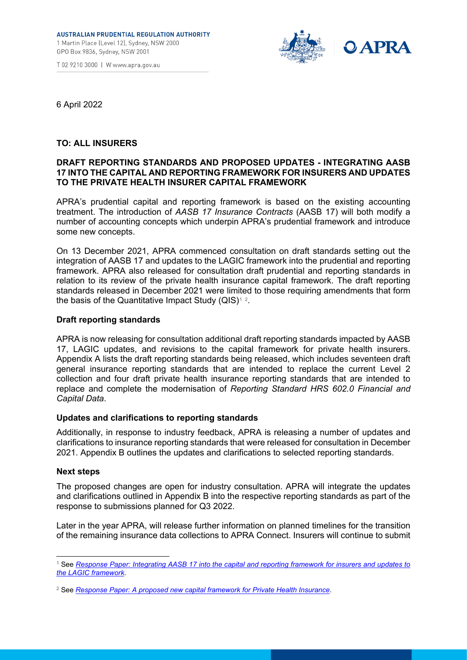



6 April 2022

# **TO: ALL INSURERS**

# **DRAFT REPORTING STANDARDS AND PROPOSED UPDATES - INTEGRATING AASB 17 INTO THE CAPITAL AND REPORTING FRAMEWORK FOR INSURERS AND UPDATES TO THE PRIVATE HEALTH INSURER CAPITAL FRAMEWORK**

APRA's prudential capital and reporting framework is based on the existing accounting treatment. The introduction of *AASB 17 Insurance Contracts* (AASB 17) will both modify a number of accounting concepts which underpin APRA's prudential framework and introduce some new concepts.

On 13 December 2021, APRA commenced consultation on draft standards setting out the integration of AASB 17 and updates to the LAGIC framework into the prudential and reporting framework. APRA also released for consultation draft prudential and reporting standards in relation to its review of the private health insurance capital framework. The draft reporting standards released in December 2021 were limited to those requiring amendments that form the basis of the Quantitative Impact Study (QIS)[1](#page-0-0)[2](#page-0-1).

# **Draft reporting standards**

APRA is now releasing for consultation additional draft reporting standards impacted by AASB 17, LAGIC updates, and revisions to the capital framework for private health insurers. Appendix A lists the draft reporting standards being released, which includes seventeen draft general insurance reporting standards that are intended to replace the current Level 2 collection and four draft private health insurance reporting standards that are intended to replace and complete the modernisation of *Reporting Standard HRS 602.0 Financial and Capital Data*.

# **Updates and clarifications to reporting standards**

Additionally, in response to industry feedback, APRA is releasing a number of updates and clarifications to insurance reporting standards that were released for consultation in December 2021. Appendix B outlines the updates and clarifications to selected reporting standards.

# **Next steps**

The proposed changes are open for industry consultation. APRA will integrate the updates and clarifications outlined in Appendix B into the respective reporting standards as part of the response to submissions planned for Q3 2022.

Later in the year APRA, will release further information on planned timelines for the transition of the remaining insurance data collections to APRA Connect. Insurers will continue to submit

<span id="page-0-0"></span><sup>1</sup> See *[Response Paper: Integrating AASB 17 into the capital and reporting framework for insurers and updates to](https://www.apra.gov.au/round-three-%E2%80%93-response-paper-and-draft-standards-integrating-aasb-17-into-capital-and-reporting)  [the LAGIC](https://www.apra.gov.au/round-three-%E2%80%93-response-paper-and-draft-standards-integrating-aasb-17-into-capital-and-reporting) framework*.

<span id="page-0-1"></span><sup>2</sup> See *[Response Paper: A proposed new capital framework for Private Health Insurance](https://www.apra.gov.au/review-of-private-health-insurance-capital-framework)*.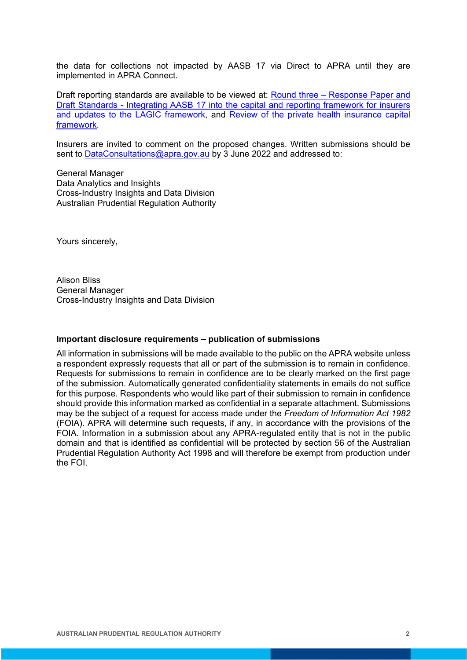the data for collections not impacted by AASB 17 via Direct to APRA until they are implemented in APRA Connect.

Draft reporting standards are available to be viewed at: **Round three - Response Paper and** [Draft Standards - Integrating AASB 17 into the capital and reporting framework for insurers](https://www.apra.gov.au/round-three-%E2%80%93-response-paper-and-draft-standards-integrating-aasb-17-into-capital-and-reporting)  [and updates to the LAGIC framework,](https://www.apra.gov.au/round-three-%E2%80%93-response-paper-and-draft-standards-integrating-aasb-17-into-capital-and-reporting) and [Review of the private health insurance capital](https://www.apra.gov.au/review-of-private-health-insurance-capital-framework)  [framework.](https://www.apra.gov.au/review-of-private-health-insurance-capital-framework)

Insurers are invited to comment on the proposed changes. Written submissions should be sent to [DataConsultations@apra.gov.au](mailto:DataConsultations@apra.gov.au) by 3 June 2022 and addressed to:

General Manager Data Analytics and Insights Cross-Industry Insights and Data Division Australian Prudential Regulation Authority

Yours sincerely,

Alison Bliss General Manager Cross-Industry Insights and Data Division

#### **Important disclosure requirements – publication of submissions**

All information in submissions will be made available to the public on the APRA website unless a respondent expressly requests that all or part of the submission is to remain in confidence. Requests for submissions to remain in confidence are to be clearly marked on the first page of the submission. Automatically generated confidentiality statements in emails do not suffice for this purpose. Respondents who would like part of their submission to remain in confidence should provide this information marked as confidential in a separate attachment. Submissions may be the subject of a request for access made under the *Freedom of Information Act 1982* (FOIA). APRA will determine such requests, if any, in accordance with the provisions of the FOIA. Information in a submission about any APRA-regulated entity that is not in the public domain and that is identified as confidential will be protected by section 56 of the Australian Prudential Regulation Authority Act 1998 and will therefore be exempt from production under the FOI.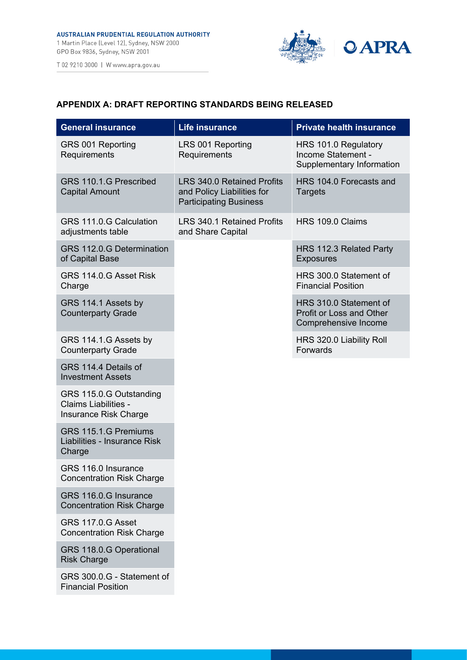

# **APPENDIX A: DRAFT REPORTING STANDARDS BEING RELEASED**

| <b>General insurance</b>                                                 | <b>Life insurance</b>                                                                            | <b>Private health insurance</b>                                                   |
|--------------------------------------------------------------------------|--------------------------------------------------------------------------------------------------|-----------------------------------------------------------------------------------|
| GRS 001 Reporting<br>Requirements                                        | LRS 001 Reporting<br>Requirements                                                                | HRS 101.0 Regulatory<br>Income Statement -<br>Supplementary Information           |
| GRS 110.1.G Prescribed<br><b>Capital Amount</b>                          | <b>LRS 340.0 Retained Profits</b><br>and Policy Liabilities for<br><b>Participating Business</b> | HRS 104.0 Forecasts and<br><b>Targets</b>                                         |
| GRS 111.0.G Calculation<br>adjustments table                             | <b>LRS 340.1 Retained Profits</b><br>and Share Capital                                           | HRS 109.0 Claims                                                                  |
| GRS 112.0.G Determination<br>of Capital Base                             |                                                                                                  | HRS 112.3 Related Party<br><b>Exposures</b>                                       |
| GRS 114.0.G Asset Risk<br>Charge                                         |                                                                                                  | HRS 300.0 Statement of<br><b>Financial Position</b>                               |
| GRS 114.1 Assets by<br><b>Counterparty Grade</b>                         |                                                                                                  | HRS 310.0 Statement of<br><b>Profit or Loss and Other</b><br>Comprehensive Income |
| GRS 114.1.G Assets by<br><b>Counterparty Grade</b>                       |                                                                                                  | HRS 320.0 Liability Roll<br>Forwards                                              |
| GRS 114.4 Details of<br><b>Investment Assets</b>                         |                                                                                                  |                                                                                   |
| GRS 115.0.G Outstanding<br>Claims Liabilities -<br>Insurance Risk Charge |                                                                                                  |                                                                                   |
| GRS 115.1.G Premiums<br>Liabilities - Insurance Risk<br>Charge           |                                                                                                  |                                                                                   |
| GRS 116.0 Insurance<br><b>Concentration Risk Charge</b>                  |                                                                                                  |                                                                                   |
| GRS 116.0.G Insurance<br><b>Concentration Risk Charge</b>                |                                                                                                  |                                                                                   |
| <b>GRS 117.0.G Asset</b><br><b>Concentration Risk Charge</b>             |                                                                                                  |                                                                                   |
| GRS 118.0.G Operational<br><b>Risk Charge</b>                            |                                                                                                  |                                                                                   |
| GRS 300.0.G - Statement of<br><b>Financial Position</b>                  |                                                                                                  |                                                                                   |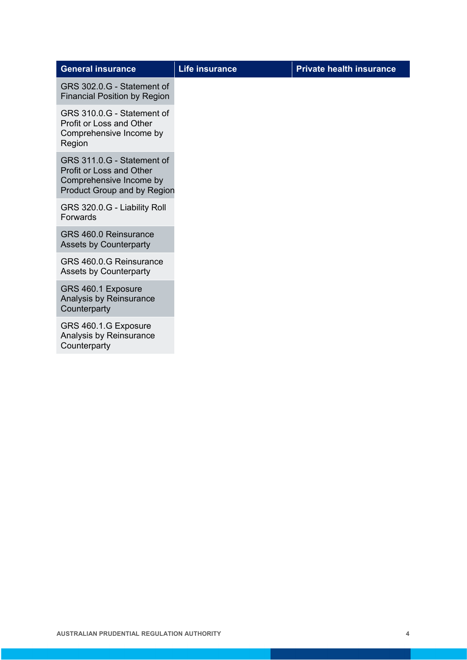| <b>General insurance</b>                                                                                                | <b>Life insurance</b> | <b>Private health insurance</b> |
|-------------------------------------------------------------------------------------------------------------------------|-----------------------|---------------------------------|
| GRS 302.0.G - Statement of<br><b>Financial Position by Region</b>                                                       |                       |                                 |
| GRS 310.0.G - Statement of<br><b>Profit or Loss and Other</b><br>Comprehensive Income by<br>Region                      |                       |                                 |
| GRS 311.0.G - Statement of<br>Profit or Loss and Other<br>Comprehensive Income by<br><b>Product Group and by Region</b> |                       |                                 |
| GRS 320.0.G - Liability Roll<br>Forwards                                                                                |                       |                                 |
| GRS 460.0 Reinsurance<br><b>Assets by Counterparty</b>                                                                  |                       |                                 |
| GRS 460.0.G Reinsurance<br><b>Assets by Counterparty</b>                                                                |                       |                                 |
| GRS 460.1 Exposure<br>Analysis by Reinsurance<br>Counterparty                                                           |                       |                                 |
| GRS 460.1.G Exposure<br>Analysis by Reinsurance<br>Counterparty                                                         |                       |                                 |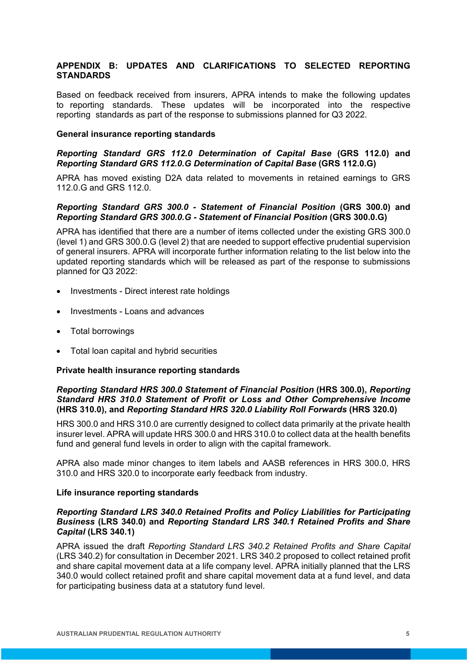# **APPENDIX B: UPDATES AND CLARIFICATIONS TO SELECTED REPORTING STANDARDS**

Based on feedback received from insurers, APRA intends to make the following updates to reporting standards. These updates will be incorporated into the respective reporting standards as part of the response to submissions planned for Q3 2022.

#### **General insurance reporting standards**

# *Reporting Standard GRS 112.0 Determination of Capital Base* **(GRS 112.0) and** *Reporting Standard GRS 112.0.G Determination of Capital Base* **(GRS 112.0.G)**

APRA has moved existing D2A data related to movements in retained earnings to GRS 112.0.G and GRS 112.0.

# *Reporting Standard GRS 300.0 - Statement of Financial Position* **(GRS 300.0) and** *Reporting Standard GRS 300.0.G - Statement of Financial Position* **(GRS 300.0.G)**

APRA has identified that there are a number of items collected under the existing GRS 300.0 (level 1) and GRS 300.0.G (level 2) that are needed to support effective prudential supervision of general insurers. APRA will incorporate further information relating to the list below into the updated reporting standards which will be released as part of the response to submissions planned for Q3 2022:

- Investments Direct interest rate holdings
- Investments Loans and advances
- Total borrowings
- Total loan capital and hybrid securities

# **Private health insurance reporting standards**

# *Reporting Standard HRS 300.0 Statement of Financial Position* **(HRS 300.0),** *Reporting Standard HRS 310.0 Statement of Profit or Loss and Other Comprehensive Income*  **(HRS 310.0), and** *Reporting Standard HRS 320.0 Liability Roll Forwards* **(HRS 320.0)**

HRS 300.0 and HRS 310.0 are currently designed to collect data primarily at the private health insurer level. APRA will update HRS 300.0 and HRS 310.0 to collect data at the health benefits fund and general fund levels in order to align with the capital framework.

APRA also made minor changes to item labels and AASB references in HRS 300.0, HRS 310.0 and HRS 320.0 to incorporate early feedback from industry.

# **Life insurance reporting standards**

# *Reporting Standard LRS 340.0 Retained Profits and Policy Liabilities for Participating Business* **(LRS 340.0) and** *Reporting Standard LRS 340.1 Retained Profits and Share Capital* **(LRS 340.1)**

APRA issued the draft *Reporting Standard LRS 340.2 Retained Profits and Share Capital* (LRS 340.2) for consultation in December 2021. LRS 340.2 proposed to collect retained profit and share capital movement data at a life company level. APRA initially planned that the LRS 340.0 would collect retained profit and share capital movement data at a fund level, and data for participating business data at a statutory fund level.